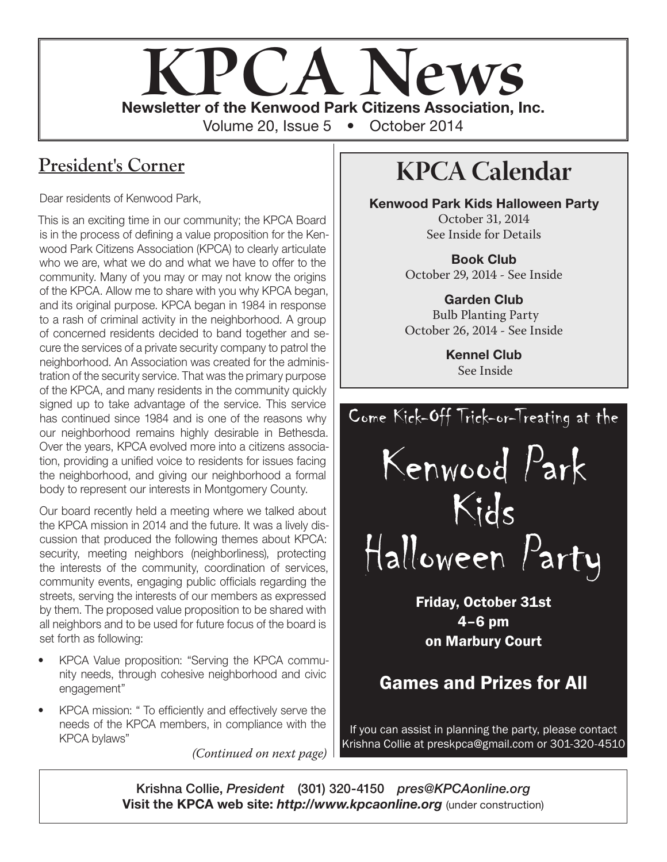

### **President's Corner**

Dear residents of Kenwood Park,

This is an exciting time in our community; the KPCA Board is in the process of defining a value proposition for the Kenwood Park Citizens Association (KPCA) to clearly articulate who we are, what we do and what we have to offer to the community. Many of you may or may not know the origins of the KPCA. Allow me to share with you why KPCA began, and its original purpose. KPCA began in 1984 in response to a rash of criminal activity in the neighborhood. A group of concerned residents decided to band together and secure the services of a private security company to patrol the neighborhood. An Association was created for the administration of the security service. That was the primary purpose of the KPCA, and many residents in the community quickly signed up to take advantage of the service. This service has continued since 1984 and is one of the reasons why our neighborhood remains highly desirable in Bethesda. Over the years, KPCA evolved more into a citizens association, providing a unified voice to residents for issues facing the neighborhood, and giving our neighborhood a formal body to represent our interests in Montgomery County.

Our board recently held a meeting where we talked about the KPCA mission in 2014 and the future. It was a lively discussion that produced the following themes about KPCA: security, meeting neighbors (neighborliness), protecting the interests of the community, coordination of services, community events, engaging public officials regarding the streets, serving the interests of our members as expressed by them. The proposed value proposition to be shared with all neighbors and to be used for future focus of the board is set forth as following:

- KPCA Value proposition: "Serving the KPCA community needs, through cohesive neighborhood and civic engagement"
- KPCA mission: " To efficiently and effectively serve the needs of the KPCA members, in compliance with the KPCA bylaws"

*(Continued on next page)*

# **KPCA Calendar**

Kenwood Park Kids Halloween Party October 31, 2014 See Inside for Details

> Book Club October 29, 2014 - See Inside

> Garden Club Bulb Planting Party October 26, 2014 - See Inside

> > Kennel Club See Inside

Come Kick-Off Trick-or-Treating at the



Friday, October 31st 4–6 pm on Marbury Court

#### Games and Prizes for All

If you can assist in planning the party, please contact Krishna Collie at preskpca@gmail.com or 301-320-4510

Krishna Collie, *President* (301) 320-4150 *pres@KPCAonline.org* Visit the KPCA web site: *http://www.kpcaonline.org* (under construction)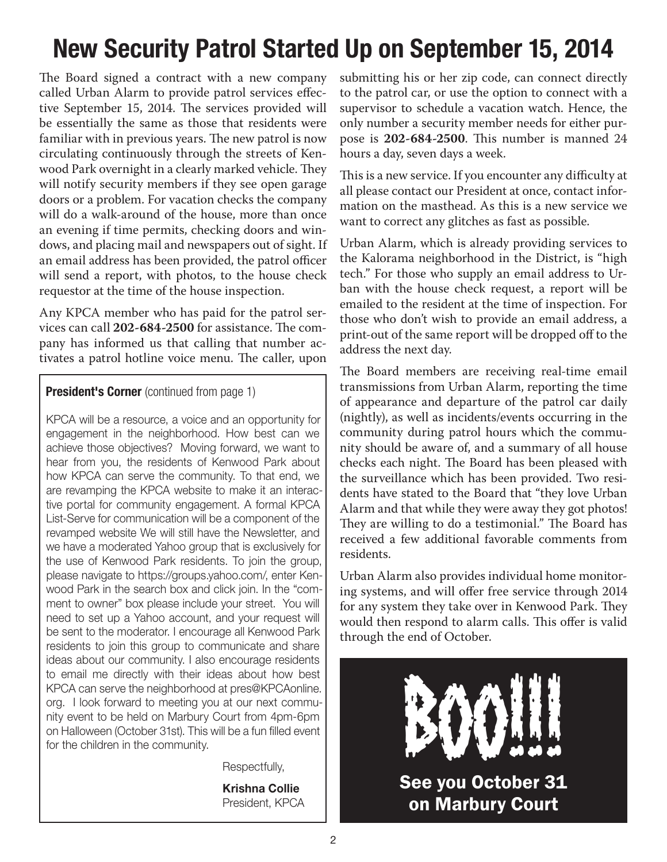# New Security Patrol Started Up on September 15, 2014

The Board signed a contract with a new company called Urban Alarm to provide patrol services effective September 15, 2014. The services provided will be essentially the same as those that residents were familiar with in previous years. The new patrol is now circulating continuously through the streets of Kenwood Park overnight in a clearly marked vehicle. They will notify security members if they see open garage doors or a problem. For vacation checks the company will do a walk-around of the house, more than once an evening if time permits, checking doors and windows, and placing mail and newspapers out of sight. If an email address has been provided, the patrol officer will send a report, with photos, to the house check requestor at the time of the house inspection.

Any KPCA member who has paid for the patrol services can call **202-684-2500** for assistance. The company has informed us that calling that number activates a patrol hotline voice menu. The caller, upon

#### **President's Corner** (continued from page 1)

KPCA will be a resource, a voice and an opportunity for engagement in the neighborhood. How best can we achieve those objectives? Moving forward, we want to hear from you, the residents of Kenwood Park about how KPCA can serve the community. To that end, we are revamping the KPCA website to make it an interactive portal for community engagement. A formal KPCA List-Serve for communication will be a component of the revamped website We will still have the Newsletter, and we have a moderated Yahoo group that is exclusively for the use of Kenwood Park residents. To join the group, please navigate to https://groups.yahoo.com/, enter Kenwood Park in the search box and click join. In the "comment to owner" box please include your street. You will need to set up a Yahoo account, and your request will be sent to the moderator. I encourage all Kenwood Park residents to join this group to communicate and share ideas about our community. I also encourage residents to email me directly with their ideas about how best KPCA can serve the neighborhood at pres@KPCAonline. org. I look forward to meeting you at our next community event to be held on Marbury Court from 4pm-6pm on Halloween (October 31st). This will be a fun filled event for the children in the community.

Respectfully,

Krishna Collie President, KPCA submitting his or her zip code, can connect directly to the patrol car, or use the option to connect with a supervisor to schedule a vacation watch. Hence, the only number a security member needs for either purpose is **202-684-2500**. This number is manned 24 hours a day, seven days a week.

This is a new service. If you encounter any difficulty at all please contact our President at once, contact information on the masthead. As this is a new service we want to correct any glitches as fast as possible.

Urban Alarm, which is already providing services to the Kalorama neighborhood in the District, is "high tech." For those who supply an email address to Urban with the house check request, a report will be emailed to the resident at the time of inspection. For those who don't wish to provide an email address, a print-out of the same report will be dropped off to the address the next day.

The Board members are receiving real-time email transmissions from Urban Alarm, reporting the time of appearance and departure of the patrol car daily (nightly), as well as incidents/events occurring in the community during patrol hours which the community should be aware of, and a summary of all house checks each night. The Board has been pleased with the surveillance which has been provided. Two residents have stated to the Board that "they love Urban Alarm and that while they were away they got photos! They are willing to do a testimonial." The Board has received a few additional favorable comments from residents.

Urban Alarm also provides individual home monitoring systems, and will offer free service through 2014 for any system they take over in Kenwood Park. They would then respond to alarm calls. This offer is valid through the end of October.

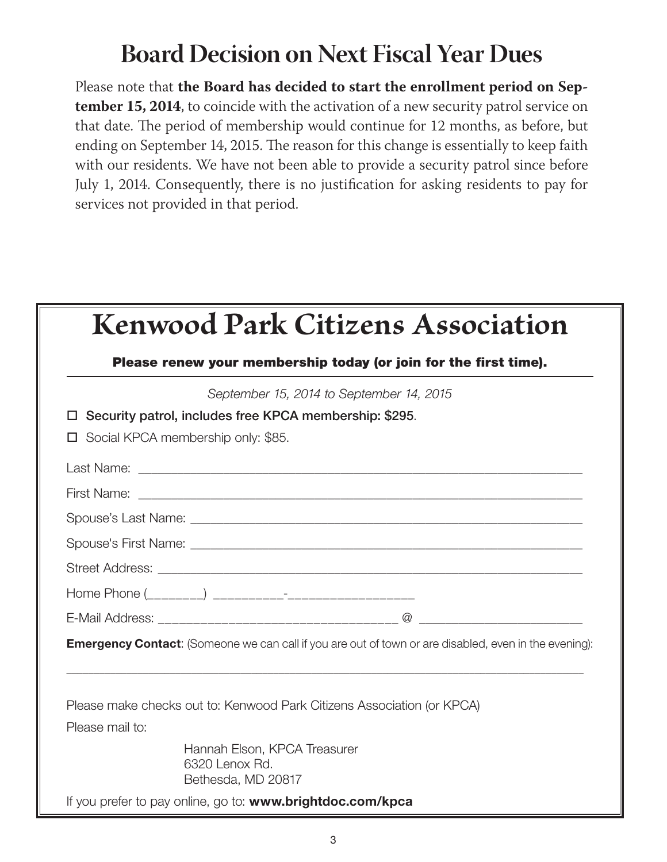# **Board Decision on Next Fiscal Year Dues**

Please note that **the Board has decided to start the enrollment period on September 15, 2014**, to coincide with the activation of a new security patrol service on that date. The period of membership would continue for 12 months, as before, but ending on September 14, 2015. The reason for this change is essentially to keep faith with our residents. We have not been able to provide a security patrol since before July 1, 2014. Consequently, there is no justification for asking residents to pay for services not provided in that period.

| Please renew your membership today (or join for the first time). |                                                                                                              |  |
|------------------------------------------------------------------|--------------------------------------------------------------------------------------------------------------|--|
|                                                                  | September 15, 2014 to September 14, 2015                                                                     |  |
|                                                                  | Security patrol, includes free KPCA membership: \$295.                                                       |  |
|                                                                  | $\Box$ Social KPCA membership only: \$85.                                                                    |  |
|                                                                  |                                                                                                              |  |
|                                                                  |                                                                                                              |  |
|                                                                  |                                                                                                              |  |
|                                                                  |                                                                                                              |  |
|                                                                  |                                                                                                              |  |
|                                                                  |                                                                                                              |  |
|                                                                  |                                                                                                              |  |
|                                                                  | <b>Emergency Contact:</b> (Someone we can call if you are out of town or are disabled, even in the evening): |  |
|                                                                  | Please make checks out to: Kenwood Park Citizens Association (or KPCA)                                       |  |
| Please mail to:                                                  |                                                                                                              |  |
|                                                                  | Hannah Elson, KPCA Treasurer<br>6320 Lenox Rd.<br>Bethesda, MD 20817                                         |  |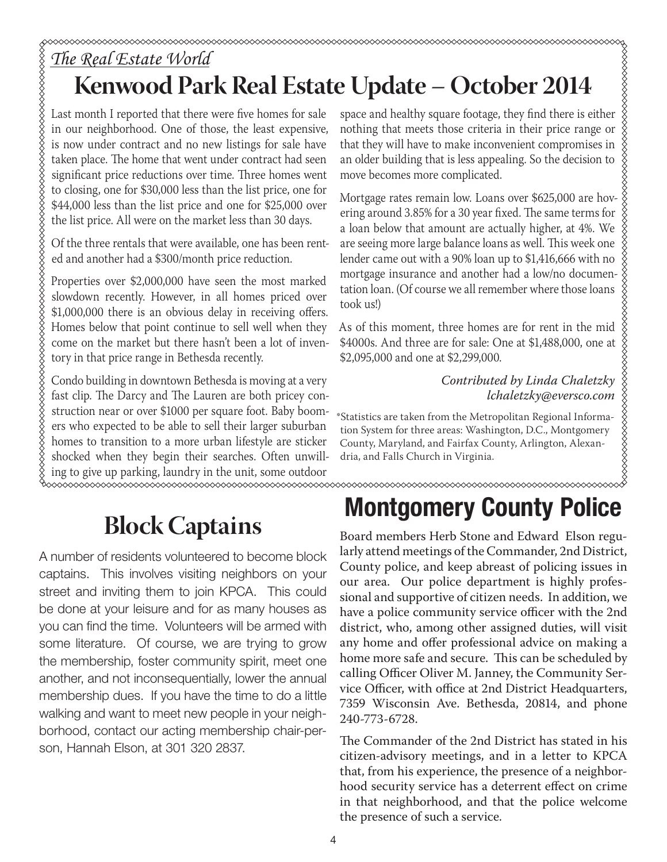## *The Real Estate World* **Kenwood Park Real Estate Update – October 2014**

Last month I reported that there were five homes for sale in our neighborhood. One of those, the least expensive, is now under contract and no new listings for sale have taken place. The home that went under contract had seen significant price reductions over time. Three homes went to closing, one for \$30,000 less than the list price, one for \$44,000 less than the list price and one for \$25,000 over the list price. All were on the market less than 30 days.

Of the three rentals that were available, one has been rented and another had a \$300/month price reduction.

Properties over \$2,000,000 have seen the most marked slowdown recently. However, in all homes priced over \$1,000,000 there is an obvious delay in receiving offers. Homes below that point continue to sell well when they come on the market but there hasn't been a lot of inventory in that price range in Bethesda recently.

Condo building in downtown Bethesda is moving at a very fast clip. The Darcy and The Lauren are both pricey construction near or over \$1000 per square foot. Baby boomers who expected to be able to sell their larger suburban homes to transition to a more urban lifestyle are sticker shocked when they begin their searches. Often unwilling to give up parking, laundry in the unit, some outdoor

# **Block Captains**

A number of residents volunteered to become block captains. This involves visiting neighbors on your street and inviting them to join KPCA. This could be done at your leisure and for as many houses as you can find the time. Volunteers will be armed with some literature. Of course, we are trying to grow the membership, foster community spirit, meet one another, and not inconsequentially, lower the annual membership dues. If you have the time to do a little walking and want to meet new people in your neighborhood, contact our acting membership chair-person, Hannah Elson, at 301 320 2837.

space and healthy square footage, they find there is either nothing that meets those criteria in their price range or that they will have to make inconvenient compromises in an older building that is less appealing. So the decision to move becomes more complicated.

Mortgage rates remain low. Loans over \$625,000 are hovering around 3.85% for a 30 year fixed. The same terms for a loan below that amount are actually higher, at 4%. We are seeing more large balance loans as well. This week one lender came out with a 90% loan up to \$1,416,666 with no mortgage insurance and another had a low/no documentation loan. (Of course we all remember where those loans took us!)

As of this moment, three homes are for rent in the mid \$4000s. And three are for sale: One at \$1,488,000, one at \$2,095,000 and one at \$2,299,000.

> *Contributed by Linda Chaletzky lchaletzky@eversco.com*

\*Statistics are taken from the Metropolitan Regional Information System for three areas: Washington, D.C., Montgomery County, Maryland, and Fairfax County, Arlington, Alexandria, and Falls Church in Virginia.

<u>MMMMMMMMMMMMMMMMMMMM</u>

# Montgomery County Police

Board members Herb Stone and Edward Elson regularly attend meetings of the Commander, 2nd District, County police, and keep abreast of policing issues in our area. Our police department is highly professional and supportive of citizen needs. In addition, we have a police community service officer with the 2nd district, who, among other assigned duties, will visit any home and offer professional advice on making a home more safe and secure. This can be scheduled by calling Officer Oliver M. Janney, the Community Service Officer, with office at 2nd District Headquarters, 7359 Wisconsin Ave. Bethesda, 20814, and phone 240-773-6728.

The Commander of the 2nd District has stated in his citizen-advisory meetings, and in a letter to KPCA that, from his experience, the presence of a neighborhood security service has a deterrent effect on crime in that neighborhood, and that the police welcome the presence of such a service.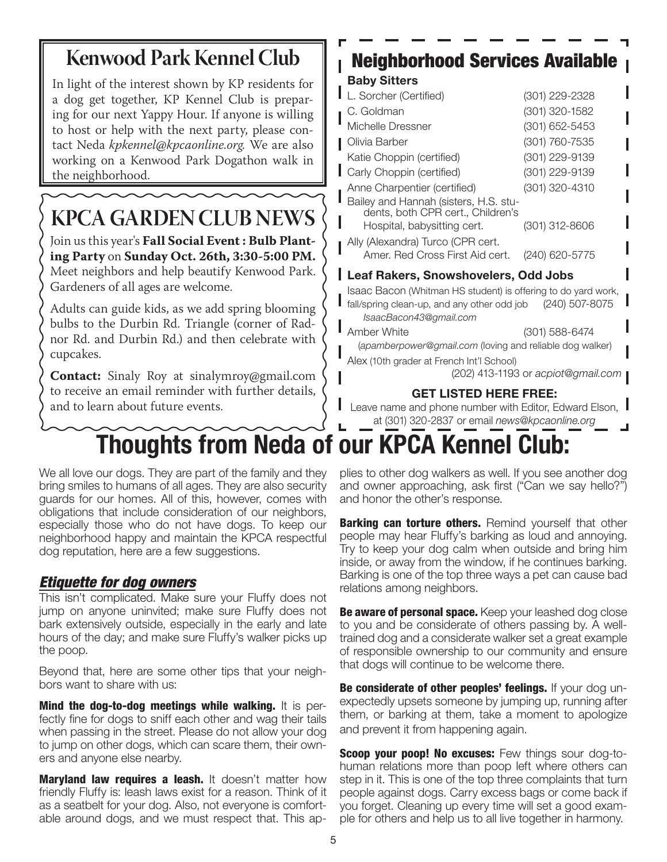### **Kenwood Park Kennel Club**

In light of the interest shown by KP residents for a dog get together, KP Kennel Club is preparing for our next Yappy Hour. If anyone is willing to host or help with the next party, please contact Neda *kpkennel@kpcaonline.org.* We are also working on a Kenwood Park Dogathon walk in the neighborhood.

## **KPCA GARDEN CLUB NEWS**

Join us this year's **Fall Social Event : Bulb Planting Party** on **Sunday Oct. 26th, 3:30-5:00 PM.**  Meet neighbors and help beautify Kenwood Park. Gardeners of all ages are welcome.

Adults can guide kids, as we add spring blooming bulbs to the Durbin Rd. Triangle (corner of Radnor Rd. and Durbin Rd.) and then celebrate with cupcakes.

**Contact:** Sinaly Roy at sinalymroy@gmail.com to receive an email reminder with further details, and to learn about future events.

## Neighborhood Services Available

#### Baby Sitters

| L. Sorcher (Certified)                                                     | (301) 229-2328 |  |  |
|----------------------------------------------------------------------------|----------------|--|--|
| C. Goldman                                                                 | (301) 320-1582 |  |  |
| Michelle Dressner                                                          | (301) 652-5453 |  |  |
| Olivia Barber                                                              | (301) 760-7535 |  |  |
| Katie Choppin (certified)                                                  | (301) 229-9139 |  |  |
| Carly Choppin (certified)                                                  | (301) 229-9139 |  |  |
| Anne Charpentier (certified)                                               | (301) 320-4310 |  |  |
| Bailey and Hannah (sisters, H.S. stu-<br>dents, both CPR cert., Children's |                |  |  |
| Hospital, babysitting cert.                                                | (301) 312-8606 |  |  |
| Ally (Alexandra) Turco (CPR cert.<br>Amer. Red Cross First Aid cert.       | (240) 620-5775 |  |  |
| Leaf Rakers, Snowshovelers, Odd Jobs                                       |                |  |  |
| $\lambda$                                                                  |                |  |  |

Isaac Bacon (Whitman HS student) is offering to do yard work, fall/spring clean-up, and any other odd job (240) 507-8075 *IsaacBacon43@gmail.com*

Amber White (301) 588-6474 (*apamberpower@gmail.com* (loving and reliable dog walker) Alex (10th grader at French Int'l School)

(202) 413-1193 or *acpiot@gmail.com*

#### GET LISTED HERE FREE:

Leave name and phone number with Editor, Edward Elson, at (301) 320-2837 or email *news@kpcaonline.org*

# Thoughts from Neda of our KPCA Kennel Club:

We all love our dogs. They are part of the family and they bring smiles to humans of all ages. They are also security guards for our homes. All of this, however, comes with obligations that include consideration of our neighbors, especially those who do not have dogs. To keep our neighborhood happy and maintain the KPCA respectful dog reputation, here are a few suggestions.

#### *Etiquette for dog owners*

This isn't complicated. Make sure your Fluffy does not jump on anyone uninvited; make sure Fluffy does not bark extensively outside, especially in the early and late hours of the day; and make sure Fluffy's walker picks up the poop.

Beyond that, here are some other tips that your neighbors want to share with us:

Mind the dog-to-dog meetings while walking. It is perfectly fine for dogs to sniff each other and wag their tails when passing in the street. Please do not allow your dog to jump on other dogs, which can scare them, their owners and anyone else nearby.

Maryland law requires a leash. It doesn't matter how friendly Fluffy is: leash laws exist for a reason. Think of it as a seatbelt for your dog. Also, not everyone is comfortable around dogs, and we must respect that. This ap-

plies to other dog walkers as well. If you see another dog and owner approaching, ask first ("Can we say hello?") and honor the other's response.

**Barking can torture others.** Remind yourself that other people may hear Fluffy's barking as loud and annoying. Try to keep your dog calm when outside and bring him inside, or away from the window, if he continues barking. Barking is one of the top three ways a pet can cause bad relations among neighbors.

**Be aware of personal space.** Keep your leashed dog close to you and be considerate of others passing by. A welltrained dog and a considerate walker set a great example of responsible ownership to our community and ensure that dogs will continue to be welcome there.

Be considerate of other peoples' feelings. If your dog unexpectedly upsets someone by jumping up, running after them, or barking at them, take a moment to apologize and prevent it from happening again.

Scoop your poop! No excuses: Few things sour dog-tohuman relations more than poop left where others can step in it. This is one of the top three complaints that turn people against dogs. Carry excess bags or come back if you forget. Cleaning up every time will set a good example for others and help us to all live together in harmony.